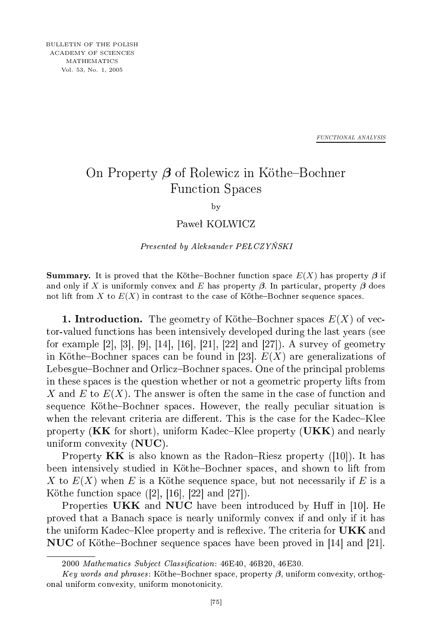*FUNCTIONAL ANALYSIS*

## On Property β of Rolewicz in Köthe-Bochner Fun
tion Spa
es

by  $\overline{\phantom{a}}$ 

## Paweł KOLWICZ

Presented by Aleksander PEŁCZYŃSKI

**Summary.** It is proved that the Köthe-Bochner function space  $E(X)$  has property  $\beta$  if and only if X is uniformly convex and E has property  $\beta$ . In particular, property  $\beta$  does not lift from X to  $E(X)$  in contrast to the case of Köthe-Bochner sequence spaces.

**1. Introduction.** The geometry of Köthe–Bochner spaces  $E(X)$  of vector-valued fun
tions has been intensively developed during the last years (see for example [2], [3], [9], [14], [16], [21], [22] and [27]). A survey of geometry in Köthe-Bochner spaces can be found in [23].  $E(X)$  are generalizations of Lebesgue–Bochner and Orlicz–Bochner spaces. One of the principal problems in these spa
es is the question whether or not a geometri property lifts from X and E to  $E(X)$ . The answer is often the same in the case of function and sequence Köthe-Bochner spaces. However, the really peculiar situation is when the relevant criteria are different. This is the case for the Kadec–Klee property  $(KK)$  for short), uniform Kadec–Klee property  $(UKK)$  and nearly uniform onvexity (NUC).

Property  $KK$  is also known as the Radon–Riesz property ([10]). It has been intensively studied in Köthe-Bochner spaces, and shown to lift from X to  $E(X)$  when E is a Köthe sequence space, but not necessarily if E is a Köthe function space  $([2], [16], [22]$  and  $[27]$ .

Properties UKK and NUC have been introduced by Huff in  $[10]$ . He proved that a Bana
h spa
e is nearly uniformly onvex if and only if it has the uniform Kadec–Klee property and is reflexive. The criteria for  $\mathbf{UKK}$  and NUC of Köthe-Bochner sequence spaces have been proved in [14] and [21].

<sup>2000</sup> Mathematics Subject Classification: 46E40, 46B20, 46E30.

Key words and phrases: Köthe-Bochner space, property β, uniform convexity, orthogonal uniform onvexity, uniform monotoni
ity.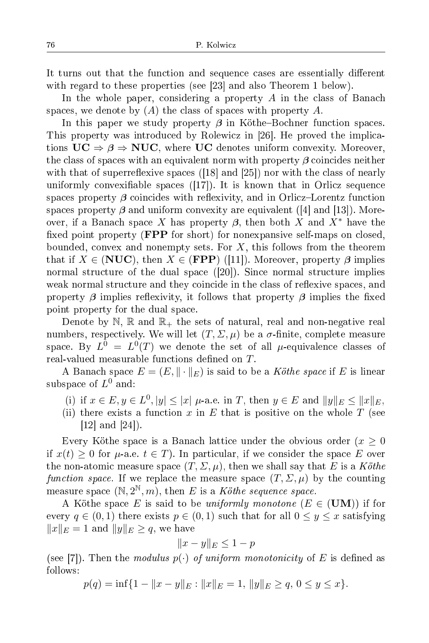It turns out that the function and sequence cases are essentially different with regard to these properties (see [23] and also Theorem 1 below).

In the whole paper, considering a property  $A$  in the class of Banach spaces, we denote by  $(A)$  the class of spaces with property A.

In this paper we study property  $\beta$  in Köthe-Bochner function spaces. This property was introduced by Rolewicz in [26]. He proved the implications  $UC \Rightarrow \beta \Rightarrow NUC$ , where UC denotes uniform convexity. Moreover, the class of spaces with an equivalent norm with property *β* coincides neither with that of superreflexive spaces  $(18)$  and  $(25)$  nor with the class of nearly uniformly convexifiable spaces  $(17)$ . It is known that in Orlicz sequence spaces property  $\beta$  coincides with reflexivity, and in Orlicz-Lorentz function spaces property  $\beta$  and uniform convexity are equivalent ([4] and [13]). Moreover, if a Banach space X has property  $\beta$ , then both X and X<sup>\*</sup> have the fixed point property (**FPP** for short) for nonexpansive self-maps on closed, bounded, convex and nonempty sets. For  $X$ , this follows from the theorem that if  $X \in (NUC)$ , then  $X \in (FPP)$  ([11]). Moreover, property  $\beta$  implies normal structure of the dual space  $([20])$ . Since normal structure implies weak normal structure and they coincide in the class of reflexive spaces, and property  $\beta$  implies reflexivity, it follows that property  $\beta$  implies the fixed point property for the dual spa
e.

Denote by N, R and  $\mathbb{R}_+$  the sets of natural, real and non-negative real numbers, respectively. We will let  $(T, \Sigma, \mu)$  be a  $\sigma$ -finite, complete measure space. By  $L^0 = L^0(T)$  we denote the set of all  $\mu$ -equivalence classes of real-valued measurable functions defined on T.

A Banach space  $E = (E, \|\cdot\|_E)$  is said to be a Köthe space if E is linear subspace of  $L^0$ 

- (i) if  $x \in E, y \in L^0, |y| \leq |x| \mu$ -a.e. in T, then  $y \in E$  and  $||y||_E \leq ||x||_E$ ,
- (ii) there exists a function x in E that is positive on the whole  $T$  (see  $[12]$  and  $[24]$ ).

Every Köthe space is a Banach lattice under the obvious order  $(x \geq 0)$ if  $x(t) \geq 0$  for  $\mu$ -a.e.  $t \in T$ ). In particular, if we consider the space E over the non-atomic measure space  $(T, \Sigma, \mu)$ , then we shall say that E is a Köthe function space. If we replace the measure space  $(T, \Sigma, \mu)$  by the counting measure space  $(\mathbb{N}, 2^{\mathbb{N}}, m)$ , then E is a Köthe sequence space.

A Köthe space E is said to be uniformly monotone  $(E \in (UM))$  if for every  $q \in (0,1)$  there exists  $p \in (0,1)$  such that for all  $0 \le y \le x$  satisfying  $||x||_E = 1$  and  $||y||_E \ge q$ , we have

$$
||x - y||_E \le 1 - p
$$

(see [7]). Then the modulus  $p(\cdot)$  of uniform monotonicity of E is defined as follows:

 $p(q) = \inf\{1 - ||x - y||_E : ||x||_E = 1, ||y||_E \ge q, 0 \le y \le x\}.$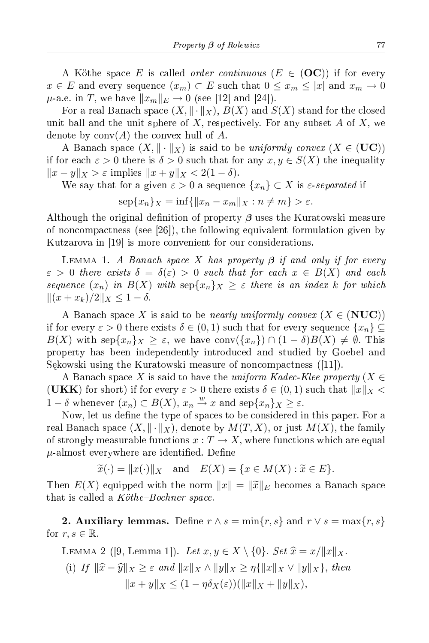A Köthe space E is called *order continuous* ( $E \in (OC)$ ) if for every  $x \in E$  and every sequence  $(x_m) \subset E$  such that  $0 \leq x_m \leq |x|$  and  $x_m \to 0$  $\mu$ -a.e. in T, we have  $||x_m||_E \to 0$  (see [12] and [24]).

For a real Banach space  $(X, \|\cdot\|_X)$ ,  $B(X)$  and  $S(X)$  stand for the closed unit ball and the unit sphere of X, respectively. For any subset A of X, we denote by  $\text{conv}(A)$  the convex hull of A.

A Banach space  $(X, \|\cdot\|_X)$  is said to be uniformly convex  $(X \in (UC))$ if for each  $\varepsilon > 0$  there is  $\delta > 0$  such that for any  $x, y \in S(X)$  the inequality  $||x - y||_X > \varepsilon$  implies  $||x + y||_X < 2(1 - \delta)$ .

We say that for a given  $\varepsilon > 0$  a sequence  $\{x_n\} \subset X$  is  $\varepsilon$ -separated if

$$
\sup\{x_n\}_X = \inf\{\|x_n - x_m\|_X : n \neq m\} > \varepsilon.
$$

Although the original definition of property  $\beta$  uses the Kuratowski measure of noncompactness (see  $\lceil 26 \rceil$ ), the following equivalent formulation given by Kutzarova in  $[19]$  is more convenient for our considerations.

LEMMA 1. A Banach space X has property β if and only if for every  $\varepsilon > 0$  there exists  $\delta = \delta(\varepsilon) > 0$  such that for each  $x \in B(X)$  and each sequence  $(x_n)$  in  $B(X)$  with  $\text{sep}\{x_n\}_X \geq \varepsilon$  there is an index k for which  $||(x + x_k)/2||_X \leq 1 - \delta.$ 

A Banach space X is said to be *nearly uniformly convex*  $(X \in (NUC))$ if for every  $\varepsilon > 0$  there exists  $\delta \in (0,1)$  such that for every sequence  $\{x_n\} \subseteq$  $B(X)$  with sep $\{x_n\}_X \geq \varepsilon$ , we have conv $(\{x_n\}) \cap (1 - \delta)B(X) \neq \emptyset$ . This property has been independently introdu
ed and studied by Goebel and Sękowski using the Kuratowski measure of noncompactness ([11]).

A Banach space X is said to have the uniform Kadec-Klee property (X  $\in$ (UKK) for short) if for every  $\varepsilon > 0$  there exists  $\delta \in (0,1)$  such that  $||x||_X <$ 1 − δ whenever  $(x_n)$   $\subset$   $B(X)$ ,  $x_n \stackrel{w}{\to} x$  and  $\text{sep}\{x_n\}_X \geq \varepsilon$ .

Now, let us define the type of spaces to be considered in this paper. For a real Banach space  $(X, \|\cdot\|_X)$ , denote by  $M(T, X)$ , or just  $M(X)$ , the family of strongly measurable functions  $x: T \to X$ , where functions which are equal  $\mu$ -almost everywhere are identified. Define

$$
\widetilde{x}(\cdot) = ||x(\cdot)||_X
$$
 and  $E(X) = \{x \in M(X) : \widetilde{x} \in E\}.$ 

Then  $E(X)$  equipped with the norm  $||x|| = ||\tilde{x}||_E$  becomes a Banach space that is called a  $K\ddot{\sigma}$ the-Bochner space.

2. Auxiliary lemmas. Define  $r \wedge s = \min\{r, s\}$  and  $r \vee s = \max\{r, s\}$ for  $r, s \in \mathbb{R}$ .

LEMMA 2 ([9, Lemma 1]). Let  $x, y \in X \setminus \{0\}$ . Set  $\widehat{x} = x/\Vert x \Vert_X$ . (i) If  $\|\widehat{x}-\widehat{y}\|_X \geq \varepsilon$  and  $\|x\|_X \wedge \|y\|_X \geq \eta\{||x||_X \vee \|y\|_X\}$ , then  $||x + y||_X \leq (1 - \eta \delta_X(\varepsilon)) (||x||_X + ||y||_X),$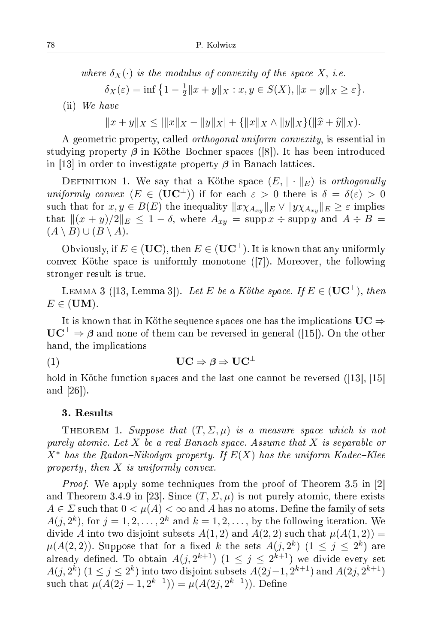where  $\delta_X(\cdot)$  is the modulus of convexity of the space X, i.e.

$$
\delta_X(\varepsilon) = \inf \left\{ 1 - \frac{1}{2} ||x + y||_X : x, y \in S(X), ||x - y||_X \ge \varepsilon \right\}.
$$

(ii) We have

 $||x + y||_X \le |||x||_X - ||y||_X| + {||x||_X \wedge ||y||_X}(\|\hat{x} + \hat{y}\|_X).$ 

A geometric property, called *orthogonal uniform convexity*, is essential in studying property *β* in Köthe–Bochner spaces ([8]). It has been introduced in [13] in order to investigate property  $\beta$  in Banach lattices.

DEFINITION 1. We say that a Köthe space  $(E, \|\cdot\|_E)$  is *orthogonally* uniformly convex  $(E \in (UC^{\perp}))$  if for each  $\varepsilon > 0$  there is  $\delta = \delta(\varepsilon) > 0$ such that for  $x, y \in B(E)$  the inequality  $||x \chi_{A_{x,y}}||_E \vee ||y \chi_{A_{x,y}}||_E \geq \varepsilon$  implies that  $\|(x + y)/2\|_E \leq 1 - \delta$ , where  $A_{xy} = \text{supp}\,x \div \text{supp}\,y$  and  $A \div B =$  $(A \setminus B) \cup (B \setminus A).$ 

Obviously, if  $E \in (UC)$ , then  $E \in (UC^{\perp})$ . It is known that any uniformly convex Köthe space is uniformly monotone  $([7])$ . Moreover, the following stronger result is true.

LEMMA 3 ([13, Lemma 3]). Let E be a Köthe space. If  $E \in (UC^{\perp})$ , then  $E \in (UM).$ 

It is known that in Köthe sequence spaces one has the implications  $\mathrm{UC}\Rightarrow$  $\mathbf{UC}^{\perp} \Rightarrow \beta$  and none of them can be reversed in general ([15]). On the other hand, the implications

(1)  $\mathbf{UC} \Rightarrow \beta \Rightarrow \mathbf{UC}^{\perp}$ 

hold in Köthe function spaces and the last one cannot be reversed ([13], [15] and [26]).

## 3. Results

THEOREM 1. Suppose that  $(T, \Sigma, \mu)$  is a measure space which is not purely atomic. Let X be a real Banach space. Assume that X is separable or  $X^*$  has the Radon-Nikodym property. If  $E(X)$  has the uniform Kadec-Klee property, then  $X$  is uniformly convex.

*Proof.* We apply some techniques from the proof of Theorem 3.5 in [2] and Theorem 3.4.9 in [23]. Since  $(T, \Sigma, \mu)$  is not purely atomic, there exists  $A \in \Sigma$  such that  $0 < \mu(A) < \infty$  and A has no atoms. Define the family of sets  $A(j, 2^k)$ , for  $j = 1, 2, ..., 2^k$  and  $k = 1, 2, ...,$  by the following iteration. We divide A into two disjoint subsets  $A(1,2)$  and  $A(2,2)$  such that  $\mu(A(1,2)) =$  $\mu(A(2,2)).$  Suppose that for a fixed k the sets  $A(j, 2^k)$   $(1 \le j \le 2^k)$  are already defined. To obtain  $A(j, 2^{k+1})$   $(1 \le j \le 2^{k+1})$  we divide every set  $A(j, 2^k)$   $(1 \le j \le 2^k)$  into two disjoint subsets  $A(2j-1, 2^{k+1})$  and  $A(2j, 2^{k+1})$ such that  $\mu(A(2j-1, 2^{k+1})) = \mu(A(2j, 2^{k+1}))$ . Define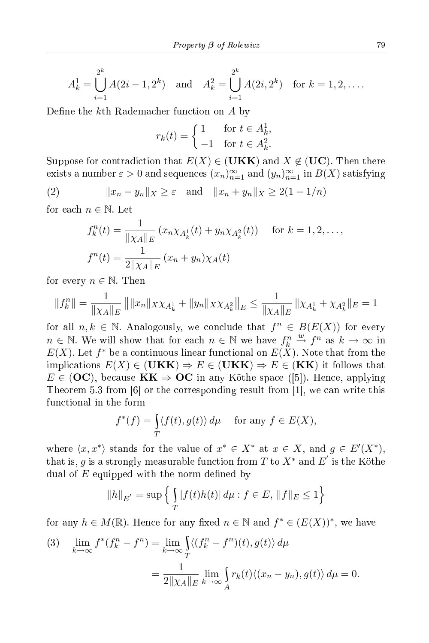$$
A_k^1 = \bigcup_{i=1}^{2^k} A(2i - 1, 2^k) \text{ and } A_k^2 = \bigcup_{i=1}^{2^k} A(2i, 2^k) \text{ for } k = 1, 2, \dots.
$$

Define the  $k$ th Rademacher function on  $A$  by

$$
r_k(t) = \begin{cases} 1 & \text{for } t \in A_k^1, \\ -1 & \text{for } t \in A_k^2. \end{cases}
$$

Suppose for contradiction that  $E(X) \in (\mathbf{UKK})$  and  $X \notin (\mathbf{UC})$ . Then there exists a number  $\varepsilon > 0$  and sequences  $(x_n)_{n=1}^{\infty}$  and  $(y_n)_{n=1}^{\infty}$  in  $B(X)$  satisfying

(2) 
$$
||x_n - y_n||_X \ge \varepsilon
$$
 and  $||x_n + y_n||_X \ge 2(1 - 1/n)$ 

for each  $n \in \mathbb{N}$ . Let

$$
f_k^n(t) = \frac{1}{\| \chi_A \|_E} \left( x_n \chi_{A_k^1}(t) + y_n \chi_{A_k^2}(t) \right) \quad \text{for } k = 1, 2, \dots,
$$
  

$$
f^n(t) = \frac{1}{2\| \chi_A \|_E} \left( x_n + y_n \right) \chi_A(t)
$$

for every  $n \in \mathbb{N}$ . Then

$$
||f_k^n|| = \frac{1}{||\chi_A||_E} ||||x_n||_X \chi_{A_k^1} + ||y_n||_X \chi_{A_k^2}||_E \le \frac{1}{||\chi_A||_E} ||\chi_{A_k^1} + \chi_{A_k^2}||_E = 1
$$

for all  $n, k \in \mathbb{N}$ . Analogously, we conclude that  $f^n \in B(E(X))$  for every  $n \in \mathbb{N}$ . We will show that for each  $n \in \mathbb{N}$  we have  $f_k^n \stackrel{w}{\to} f^n$  as  $k \to \infty$  in  $E(X)$ . Let  $f^*$  be a continuous linear functional on  $E(X)$ . Note that from the implications  $E(X) \in (\mathbf{UKK}) \Rightarrow E \in (\mathbf{UKK}) \Rightarrow E \in (\mathbf{KK})$  it follows that  $E \in (OC)$ , because  $KK \Rightarrow OC$  in any Köthe space ([5]). Hence, applying Theorem 5.3 from  $[6]$  or the corresponding result from  $[1]$ , we can write this fun
tional in the form

$$
f^*(f) = \int_T \langle f(t), g(t) \rangle \, d\mu \quad \text{ for any } f \in E(X),
$$

where  $\langle x, x^* \rangle$  stands for the value of  $x^* \in X^*$  at  $x \in X$ , and  $g \in E'(X^*)$ , that is,  $g$  is a strongly measurable function from  $T$  to  $X^*$  and  $E^{'}$  is the Köthe dual of  $E$  equipped with the norm defined by

$$
||h||_{E'} = \sup \left\{ \int_{T} |f(t)h(t)| d\mu : f \in E, ||f||_{E} \le 1 \right\}
$$

for any  $h \in M(\mathbb{R})$ . Hence for any fixed  $n \in \mathbb{N}$  and  $f^* \in (E(X))^*$ , we have

(3) 
$$
\lim_{k \to \infty} f^*(f_k^n - f^n) = \lim_{k \to \infty} \int_T \langle (f_k^n - f^n)(t), g(t) \rangle d\mu
$$

$$
= \frac{1}{2\|\chi_A\|_E} \lim_{k \to \infty} \int_A r_k(t) \langle (x_n - y_n), g(t) \rangle d\mu = 0.
$$

\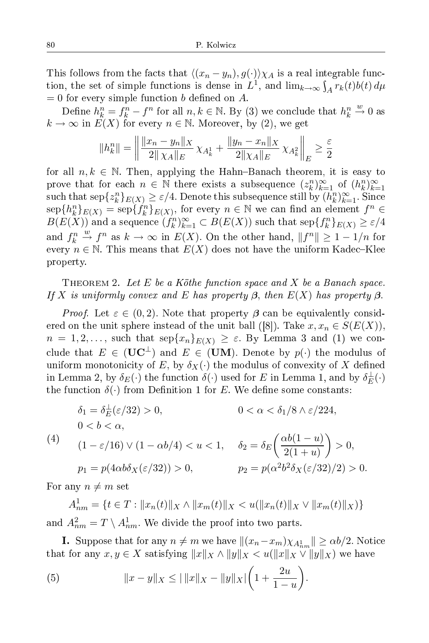This follows from the facts that  $\langle (x_n - y_n), g(\cdot) \rangle \chi_A$  is a real integrable function, the set of simple functions is dense in  $L^1$ , and  $\lim_{k\to\infty} \int_A r_k(t) b(t) d\mu$  $= 0$  for every simple function *b* defined on *A*.

Define  $h_k^n = f_k^n - f^n$  for all  $n, k \in \mathbb{N}$ . By (3) we conclude that  $h_k^n \stackrel{w}{\rightarrow} 0$  as  $k \to \infty$  in  $E(X)$  for every  $n \in \mathbb{N}$ . Moreover, by (2), we get

$$
||h_k^n|| = \left\| \frac{||x_n - y_n||_X}{2|| \chi_A ||_E} \chi_{A_k^1} + \frac{||y_n - x_n||_X}{2|| \chi_A ||_E} \chi_{A_k^2} \right\|_E \ge \frac{\varepsilon}{2}
$$

for all  $n, k \in \mathbb{N}$ . Then, applying the Hahn-Banach theorem, it is easy to prove that for each  $n \in \mathbb{N}$  there exists a subsequence  $(z_k^n)_{k=1}^\infty$  of  $(h_k^n)_{k=1}^\infty$  $\text{such that } \mathrm{sep}\{z_k^n\}_{E(X)} \geq \varepsilon/4.$  Denote this subsequence still by  $(h^n_k)_{k=1}^\infty$ . Since  $\sup\{h_k^n\}_{E(X)} = \sup\{f_k^n\}_{E(X)}$ , for every  $n \in \mathbb{N}$  we can find an element  $f^n \in$  $B(E(X))$  and a sequence  $(f_k^n)_{k=1}^{\infty} \subset B(E(X))$  such that  $\mathrm{sep}\{f_k^n\}_{E(X)} \geq \varepsilon/4$ and  $f_k^n \stackrel{w}{\to} f^n$  as  $k \to \infty$  in  $E(X)$ . On the other hand,  $||f^n|| \ge 1 - 1/n$  for every  $n \in \mathbb{N}$ . This means that  $E(X)$  does not have the uniform Kadec–Klee property.

THEOREM 2. Let  $E$  be a Köthe function space and  $X$  be a Banach space. If X is uniformly onvex and E has property *β*, then E(X) has property *β*.

*Proof.* Let  $\varepsilon \in (0,2)$ . Note that property  $\beta$  can be equivalently considered on the unit sphere instead of the unit ball ([8]). Take  $x, x_n \in S(E(X)),$  $n = 1, 2, \ldots$ , such that  $\mathrm{sep}\{x_n\}_{E(X)} \geq \varepsilon$ . By Lemma 3 and (1) we conclude that  $E \in (UC^{\perp})$  and  $E \in (UM)$ . Denote by  $p(\cdot)$  the modulus of uniform monotonicity of E, by  $\delta_X(\cdot)$  the modulus of convexity of X defined in Lemma 2, by  $\delta_E(\cdot)$  the function  $\delta(\cdot)$  used for E in Lemma 1, and by  $\delta_E^{\perp}(\cdot)$ the function  $\delta(\cdot)$  from Definition 1 for E. We define some constants:

$$
\delta_1 = \delta_E^{\perp}(\varepsilon/32) > 0, \qquad 0 < \alpha < \delta_1/8 \land \varepsilon/224,
$$
\n
$$
0 < b < \alpha,
$$
\n
$$
(1 - \varepsilon/16) \lor (1 - \alpha b/4) < u < 1, \qquad \delta_2 = \delta_E \left(\frac{\alpha b(1 - u)}{2(1 + u)}\right) > 0,
$$
\n
$$
p_1 = p(4\alpha b\delta_X(\varepsilon/32)) > 0, \qquad p_2 = p(\alpha^2 b^2 \delta_X(\varepsilon/32)/2) > 0.
$$

For any  $n \neq m$  set

 $A_{nm}^1 = \{t \in T : ||x_n(t)||_X \wedge ||x_m(t)||_X < u(||x_n(t)||_X \vee ||x_m(t)||_X)\}$ and  $A_{nm}^2 = T \setminus A_{nm}^1$ . We divide the proof into two parts.

**I.** Suppose that for any  $n \neq m$  we have  $||(x_n-x_m)\chi_{A_{nm}^1}|| \geq \alpha b/2$ . Notice that for any  $x, y \in X$  satisfying  $||x||_X \wedge ||y||_X < u(||x||_X \vee ||y||_X)$  we have

(5) 
$$
||x - y||_X \le ||x||_X - ||y||_X |\left(1 + \frac{2u}{1 - u}\right).
$$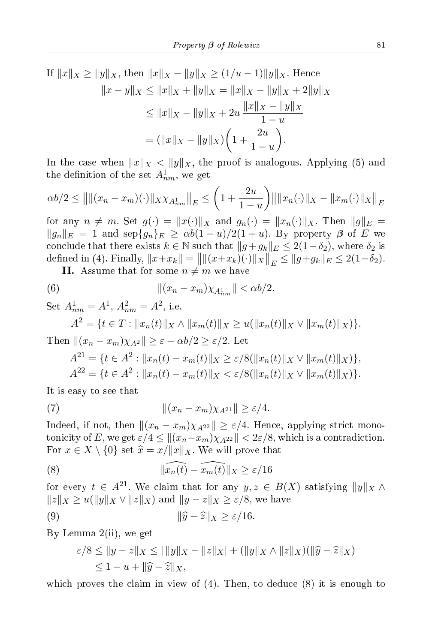If  $||x||_X \ge ||y||_X$ , then  $||x||_X - ||y||_X \ge (1/u - 1) ||y||_X$ . Hence  $||x - y||_X \le ||x||_X + ||y||_X = ||x||_X - ||y||_X + 2||y||_X$  $\leq ||x||_X - ||y||_X + 2u \frac{||x||_X - ||y||_X}{1 - u}$  $1-u$  $= (||x||_X - ||y||_X)$  $\sqrt{ }$  $1 + \frac{2u}{1}$  $1-u$  $\setminus$ .

In the case when  $||x||_X < ||y||_X$ , the proof is analogous. Applying (5) and the definition of the set  $A_{nm}^1$ , we get

$$
\alpha b/2 \le ||\|(x_n - x_m)(\cdot)\|_{X} \chi_{A_{nm}^1}\|_{E} \le \left(1 + \frac{2u}{1-u}\right) ||\|x_n(\cdot)\|_{X} - \|x_m(\cdot)\|_{X}\|_{E}
$$

for any  $n \neq m$ . Set  $g(\cdot) = ||x(\cdot)||_X$  and  $g_n(\cdot) = ||x_n(\cdot)||_X$ . Then  $||g||_E =$  $||g_n||_E = 1$  and  $\text{sep}\{g_n\}_E \ge \alpha b(1-u)/2(1+u)$ . By property  $\beta$  of E we conclude that there exists  $k \in \mathbb{N}$  such that  $||g+g_k||_E \leq 2(1-\delta_2)$ , where  $\delta_2$  is defined in (4). Finally,  $||x+x_k|| = ||||(x+x_k)(\cdot)||_X||_E \le ||g+g_k||_E \le 2(1-\delta_2).$ 

**II.** Assume that for some  $n \neq m$  we have

(6) 
$$
\| (x_n - x_m) \chi_{A_{nm}^1} \| < \alpha b / 2.
$$

Set 
$$
A_{nm}^1 = A^1
$$
,  $A_{nm}^2 = A^2$ , i.e.  
\n
$$
A^2 = \{t \in T : ||x_n(t)||_X \wedge ||x_m(t)||_X \ge u(||x_n(t)||_X \vee ||x_m(t)||_X)\}.
$$
\nThen  $||(x_n - x_m)\chi_{A^2}|| \ge \varepsilon - \alpha b/2 \ge \varepsilon/2$ . Let

$$
A^{21} = \{ t \in A^2 : ||x_n(t) - x_m(t)||_X \ge \varepsilon/8(||x_n(t)||_X \vee ||x_m(t)||_X) \},
$$
  

$$
A^{22} = \{ t \in A^2 : ||x_n(t) - x_m(t)||_X < \varepsilon/8(||x_n(t)||_X \vee ||x_m(t)||_X) \}.
$$

It is easy to see that

(7) 
$$
\|(x_n - x_m)\chi_{A^{21}}\| \ge \varepsilon/4.
$$

Indeed, if not, then  $||(x_n - x_m)\chi_{A^{22}}|| \geq \varepsilon/4$ . Hence, applying strict monotonicity of E, we get  $\varepsilon/4 \leq ||(x_n - x_m)\chi_{A^{22}}|| < 2\varepsilon/8$ , which is a contradiction. For  $x \in X \setminus \{0\}$  set  $\hat{x} = x/||x||_X$ . We will prove that

(8) 
$$
\|\widehat{x_n(t)} - \widehat{x_m(t)}\|_X \ge \varepsilon/16
$$

for every  $t \in A^{21}$ . We claim that for any  $y, z \in B(X)$  satisfying  $||y||_X \wedge$  $||z||_X \geq u(||y||_X \vee ||z||_X)$  and  $||y - z||_X \geq \varepsilon/8$ , we have

(9) 
$$
\|\widehat{y} - \widehat{z}\|_{X} \ge \varepsilon/16.
$$

By Lemma 2(ii), we get

$$
\varepsilon/8 \le ||y - z||_X \le ||y||_X - ||z||_X| + (||y||_X \wedge ||z||_X)(||\widehat{y} - \widehat{z}||_X)
$$
  
 
$$
\le 1 - u + ||\widehat{y} - \widehat{z}||_X,
$$

which proves the claim in view of  $(4)$ . Then, to deduce  $(8)$  it is enough to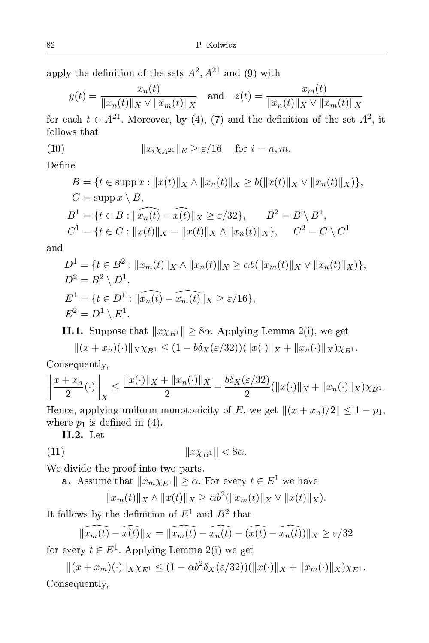apply the definition of the sets  $A^2$ ,  $A^{21}$  and (9) with

$$
y(t) = \frac{x_n(t)}{\|x_n(t)\| \times \sqrt{\|x_m(t)\|_X}}
$$
 and  $z(t) = \frac{x_m(t)}{\|x_n(t)\| \times \sqrt{\|x_m(t)\|_X}}$ 

for each  $t \in A^{21}$ . Moreover, by (4), (7) and the definition of the set  $A^2$ , it follows that

(10) 
$$
||x_i \chi_{A^{21}}||_E \ge \varepsilon/16 \quad \text{for } i = n, m.
$$

Define

$$
B = \{t \in \text{supp } x : ||x(t)||_X \wedge ||x_n(t)||_X \ge b(||x(t)||_X \vee ||x_n(t)||_X)\},
$$
  
\n
$$
C = \text{supp } x \setminus B,
$$
  
\n
$$
B^1 = \{t \in B : ||x_n(t) - x(t)||_X \ge \varepsilon/32\}, \qquad B^2 = B \setminus B^1,
$$
  
\n
$$
C^1 = \{t \in C : ||x(t)||_X = ||x(t)||_X \wedge ||x_n(t)||_X\}, \qquad C^2 = C \setminus C^1
$$

and

$$
D^{1} = \{t \in B^{2} : ||x_{m}(t)||_{X} \wedge ||x_{n}(t)||_{X} \geq \alpha b(||x_{m}(t)||_{X} \vee ||x_{n}(t)||_{X})\},
$$
  
\n
$$
D^{2} = B^{2} \setminus D^{1},
$$
  
\n
$$
E^{1} = \{t \in D^{1} : ||\widehat{x_{n}(t)} - \widehat{x_{m}(t)}||_{X} \geq \varepsilon/16\},
$$
  
\n
$$
E^{2} = D^{1} \setminus E^{1}.
$$

**II.1.** Suppose that  $||x\chi_{B1}|| \geq 8\alpha$ . Applying Lemma 2(i), we get

$$
||(x+x_n)(\cdot)||_{X\chi_{B^1}} \le (1-b\delta_X(\varepsilon/32))(||x(\cdot)||_X + ||x_n(\cdot)||_X)\chi_{B^1}.
$$

Consequently,

$$
\left\|\frac{x+x_n}{2}(\cdot)\right\|_X \le \frac{\|x(\cdot)\|_X + \|x_n(\cdot)\|_X}{2} - \frac{b\delta_X(\varepsilon/32)}{2}(\|x(\cdot)\|_X + \|x_n(\cdot)\|_X)\chi_{B^1}.
$$

Hence, applying uniform monotonicity of E, we get  $\|(x + x_n)/2\| \leq 1 - p_1$ , where  $p_1$  is defined in (4).

II.2. Let

$$
(11) \t\t\t\t\t||x\chi_{B^1}|| < 8\alpha.
$$

We divide the proof into two parts.

**a.** Assume that  $||x_m \chi_{E^1}|| \ge \alpha$ . For every  $t \in E^1$  we have

$$
||x_m(t)||_X \wedge ||x(t)||_X \ge \alpha b^2(||x_m(t)||_X \vee ||x(t)||_X).
$$

It follows by the definition of  $E^1$  and  $B^2$  that

$$
\|\widehat{x_m(t)} - \widehat{x(t)}\|_X = \|\widehat{x_m(t)} - \widehat{x_n(t)} - (\widehat{x(t)} - \widehat{x_n(t)})\|_X \ge \varepsilon/32
$$

for every  $t \in E^1$ . Applying Lemma 2(i) we get

 $||(x + x_m)(\cdot)||_{X\chi_{E^1}} \leq (1 - \alpha b^2 \delta_X(\varepsilon/32))(||x(\cdot)||_X + ||x_m(\cdot)||_X)\chi_{E^1}.$ 

Consequently,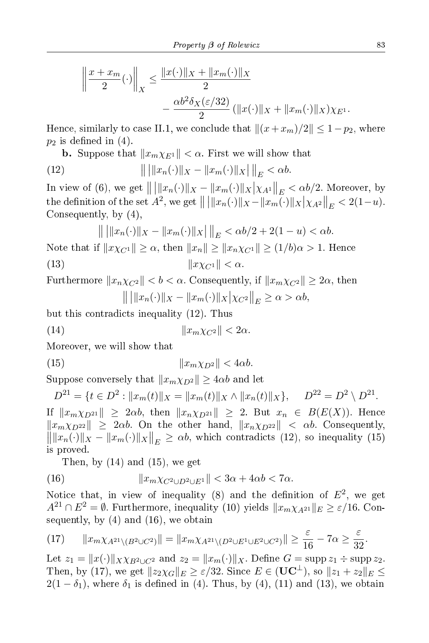$$
\left\| \frac{x + x_m}{2}(\cdot) \right\|_X \le \frac{\|x(\cdot)\|_X + \|x_m(\cdot)\|_X}{2} - \frac{\alpha b^2 \delta_X(\varepsilon/32)}{2} (\|x(\cdot)\|_X + \|x_m(\cdot)\|_X) \chi_{E^1}.
$$

Hence, similarly to case II.1, we conclude that  $\|(x+x_m)/2\| \leq 1-p_2$ , where  $p_2$  is defined in (4).

**b.** Suppose that  $||x_m \chi_{E^1}|| < \alpha$ . First we will show that

(12) 
$$
\| \| |x_n(\cdot) \|_X - \| x_m(\cdot) \|_X \| \|_E < \alpha b.
$$

In view of (6), we get  $\| \|x_n(\cdot)\|_X - \|x_m(\cdot)\|_X \Big|\chi_{A^1}\Big\|_E < \alpha b/2$ . Moreover, by the definition of the set  $A^2$ , we get  $\| \| \|x_n(\cdot)\|_X - \|x_m(\cdot)\|_X \big|_{X A^2} \|_E < 2(1-u)$ . Consequently, by (4),

$$
\|\ ||x_n(\cdot)||_X - \|x_m(\cdot)||_X \|\|_E < \alpha b/2 + 2(1 - u) < \alpha b.
$$

Note that if  $||x\chi_{C^1}|| \geq \alpha$ , then  $||x_n|| \geq ||x_n\chi_{C^1}|| \geq (1/b)\alpha > 1$ . Hence (13)  $||x\chi_{C^1}|| < \alpha$ .

Furthermore  $||x_n \chi_{C^2}|| < b < \alpha$ . Consequently, if  $||x_m \chi_{C^2}|| \geq 2\alpha$ , then  $|| || ||x_n(\cdot)||_X - ||x_m(\cdot)||_X ||_{XC^2} ||_E \ge \alpha > \alpha b,$ 

but this contradicts inequality (12). Thus

(14) kxmχC<sup>2</sup> k < 2α.

Moreover, we will show that

$$
||x_m \chi_{D^2}|| < 4\alpha b.
$$

Suppose conversely that  $||x_m \chi_{D^2}|| \geq 4\alpha b$  and let

$$
D^{21} = \{ t \in D^2 : ||x_m(t)||_X = ||x_m(t)||_X \wedge ||x_n(t)||_X \}, \quad D^{22} = D^2 \setminus D^{21}.
$$

If  $||x_m \chi_{D^{21}}|| \geq 2\alpha b$ , then  $||x_n \chi_{D^{21}}|| \geq 2$ . But  $x_n \in B(E(X))$ . Hence  $\|x_m\chi_{D^{22}}\| \geq 2\alpha b$ . On the other hand,  $\|x_n\chi_{D^{22}}\| < \alpha b$ . Consequently,  $\left\| \|x_n(\cdot)\|_X - \|x_m(\cdot)\|_X \right\|_E \ge \alpha b$ , which contradicts (12), so inequality (15) is proved.

Then, by  $(14)$  and  $(15)$ , we get

(16) 
$$
||x_m \chi_{C^2 \cup D^2 \cup E^1}|| < 3\alpha + 4\alpha b < 7\alpha.
$$

Notice that, in view of inequality (8) and the definition of  $E^2$ , we get  $A^{21} \cap E^2 = \emptyset$ . Furthermore, inequality (10) yields  $||x_m \chi_{A^{21}}||_E \ge \varepsilon/16$ . Consequently, by  $(4)$  and  $(16)$ , we obtain

$$
(17)\qquad \|x_m\chi_{A^{21}\setminus(B^2\cup C^2)}\| = \|x_m\chi_{A^{21}\setminus(D^2\cup E^1\cup E^2\cup C^2)}\| \ge \frac{\varepsilon}{16} - 7\alpha \ge \frac{\varepsilon}{32}.
$$

Let  $z_1 = ||x(\cdot)||_{X \times B^2 \cup C^2}$  and  $z_2 = ||x_m(\cdot)||_X$ . Define  $G = \text{supp } z_1 \div \text{supp } z_2$ . Then, by (17), we get  $||z_2 \chi_G||_E \geq \varepsilon/32$ . Since  $E \in (UC^{\perp})$ , so  $||z_1 + z_2||_E \leq$  $2(1 - \delta_1)$ , where  $\delta_1$  is defined in (4). Thus, by (4), (11) and (13), we obtain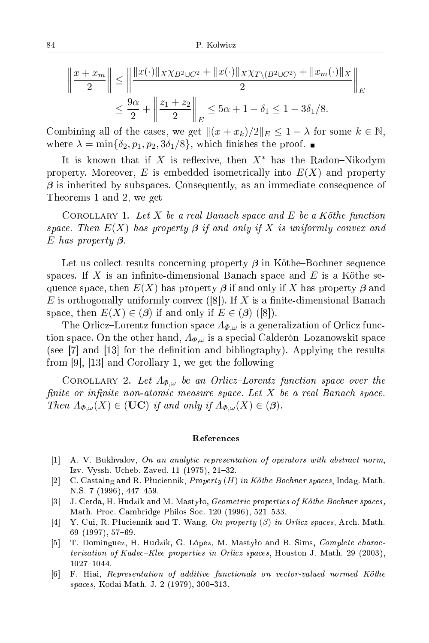$$
\left\| \frac{x + x_m}{2} \right\| \le \left\| \frac{\|x(\cdot)\|_{X} \chi_{B^2 \cup C^2} + \|x(\cdot)\|_{X} \chi_{T \setminus (B^2 \cup C^2)} + \|x_m(\cdot)\|_{X}}{2} \right\|_{E}
$$
  

$$
\le \frac{9\alpha}{2} + \left\| \frac{z_1 + z_2}{2} \right\|_{E} \le 5\alpha + 1 - \delta_1 \le 1 - 3\delta_1/8.
$$

Combining all of the cases, we get  $\|(x + x_k)/2\|_E \leq 1 - \lambda$  for some  $k \in \mathbb{N}$ , where  $\lambda = \min\{\delta_2, p_1, p_2, 3\delta_1/8\}$ , which finishes the proof.

It is known that if X is reflexive, then  $X^*$  has the Radon-Nikodym property. Moreover,  $E$  is embedded isometrically into  $E(X)$  and property β is inherited by subspaces. Consequently, as an immediate consequence of Theorems 1 and 2, we get

COROLLARY 1. Let X be a real Banach space and E be a Köthe function space. Then  $E(X)$  has property  $\beta$  if and only if X is uniformly convex and E has property *β*.

Let us collect results concerning property  $\beta$  in Köthe-Bochner sequence spaces. If X is an infinite-dimensional Banach space and  $E$  is a Köthe sequence space, then  $E(X)$  has property  $\beta$  if and only if X has property  $\beta$  and E is orthogonally uniformly convex ([8]). If X is a finite-dimensional Banach space, then  $E(X) \in (\beta)$  if and only if  $E \in (\beta)$  ([8]).

The Orlicz–Lorentz function space  $\Lambda_{\Phi,\omega}$  is a generalization of Orlicz function space. On the other hand,  $\Lambda_{\Phi,\omega}$  is a special Calderón–Lozanowski space (see  $[7]$  and  $[13]$  for the definition and bibliography). Applying the results from  $[9]$ ,  $[13]$  and Corollary 1, we get the following

COROLLARY 2. Let  $\Lambda_{\Phi,\omega}$  be an Orlicz-Lorentz function space over the finite or infinite non-atomic measure space. Let  $X$  be a real Banach space. Then  $\Lambda_{\Phi,\omega}(X) \in (\mathbf{UC})$  if and only if  $\Lambda_{\Phi,\omega}(X) \in (\beta)$ .

## Referen
es

- $[1]$  A. V. Bukhvalov, On an analytic representation of operators with abstract norm, Izv. Vyssh. Ucheb. Zaved. 11 (1975), 21-32.
- [2] C. Castaing and R. Pluciennik, Property  $(H)$  in Köthe Bochner spaces, Indag. Math. N.S. 7 (1996), 447-459.
- [3] J. Cerda, H. Hudzik and M. Mastylo, *Geometric properties of Köthe Bochner spaces*, Math. Proc. Cambridge Philos Soc. 120 (1996), 521–533.
- [4] Y. Cui, R. Pluciennik and T. Wang, On property  $(\beta)$  in Orlicz spaces, Arch. Math.  $69(1997), 57-69.$
- [5] T. Dominguez, H. Hudzik, G. López, M. Mastyło and B. Sims, Complete characterization of Kadec–Klee properties in Orlicz spaces, Houston J. Math. 29 (2003), 1027-1044.
- [6] F. Hiai, Representation of additive functionals on vector-valued normed Köthe spaces, Kodai Math. J. 2 (1979), 300-313.